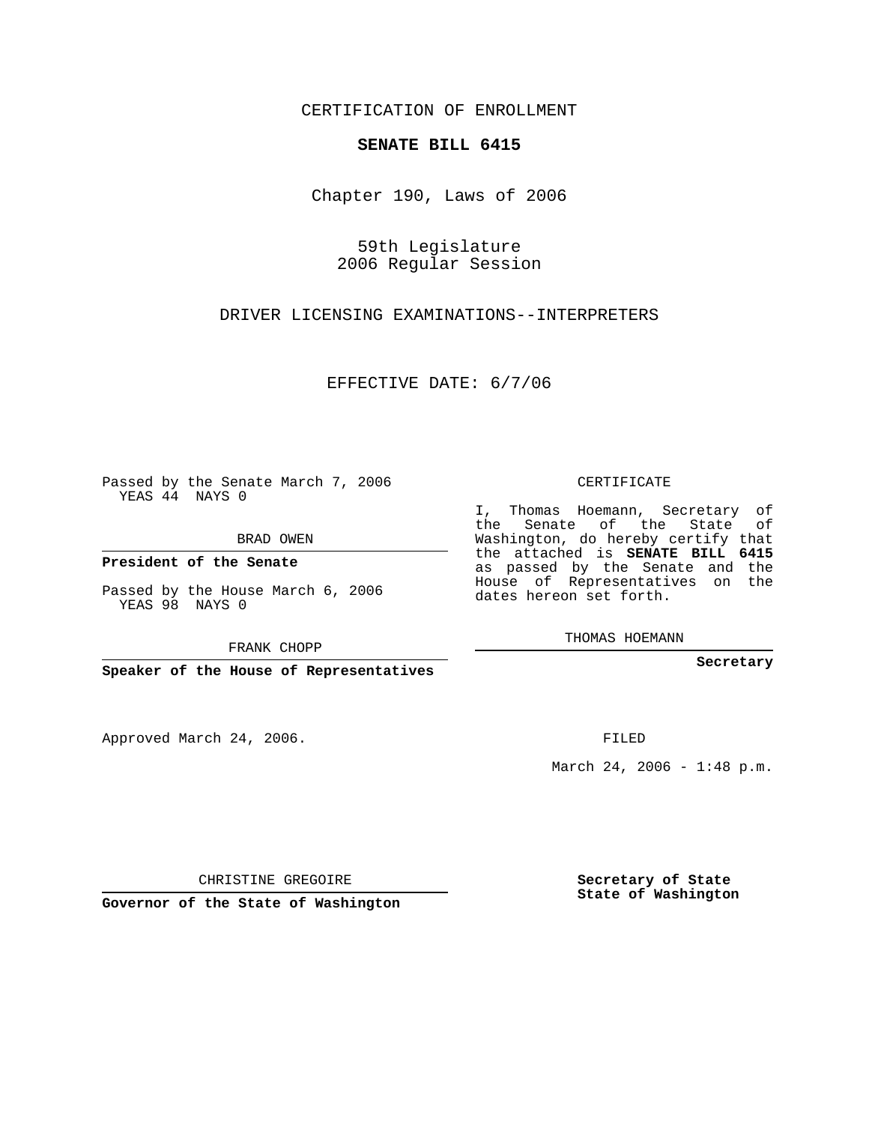CERTIFICATION OF ENROLLMENT

## **SENATE BILL 6415**

Chapter 190, Laws of 2006

59th Legislature 2006 Regular Session

DRIVER LICENSING EXAMINATIONS--INTERPRETERS

EFFECTIVE DATE: 6/7/06

Passed by the Senate March 7, 2006 YEAS 44 NAYS 0

BRAD OWEN

**President of the Senate**

Passed by the House March 6, 2006 YEAS 98 NAYS 0

FRANK CHOPP

**Speaker of the House of Representatives**

Approved March 24, 2006.

CERTIFICATE

I, Thomas Hoemann, Secretary of the Senate of the State of Washington, do hereby certify that the attached is **SENATE BILL 6415** as passed by the Senate and the House of Representatives on the dates hereon set forth.

THOMAS HOEMANN

**Secretary**

FILED

March 24, 2006 - 1:48 p.m.

CHRISTINE GREGOIRE

**Governor of the State of Washington**

**Secretary of State State of Washington**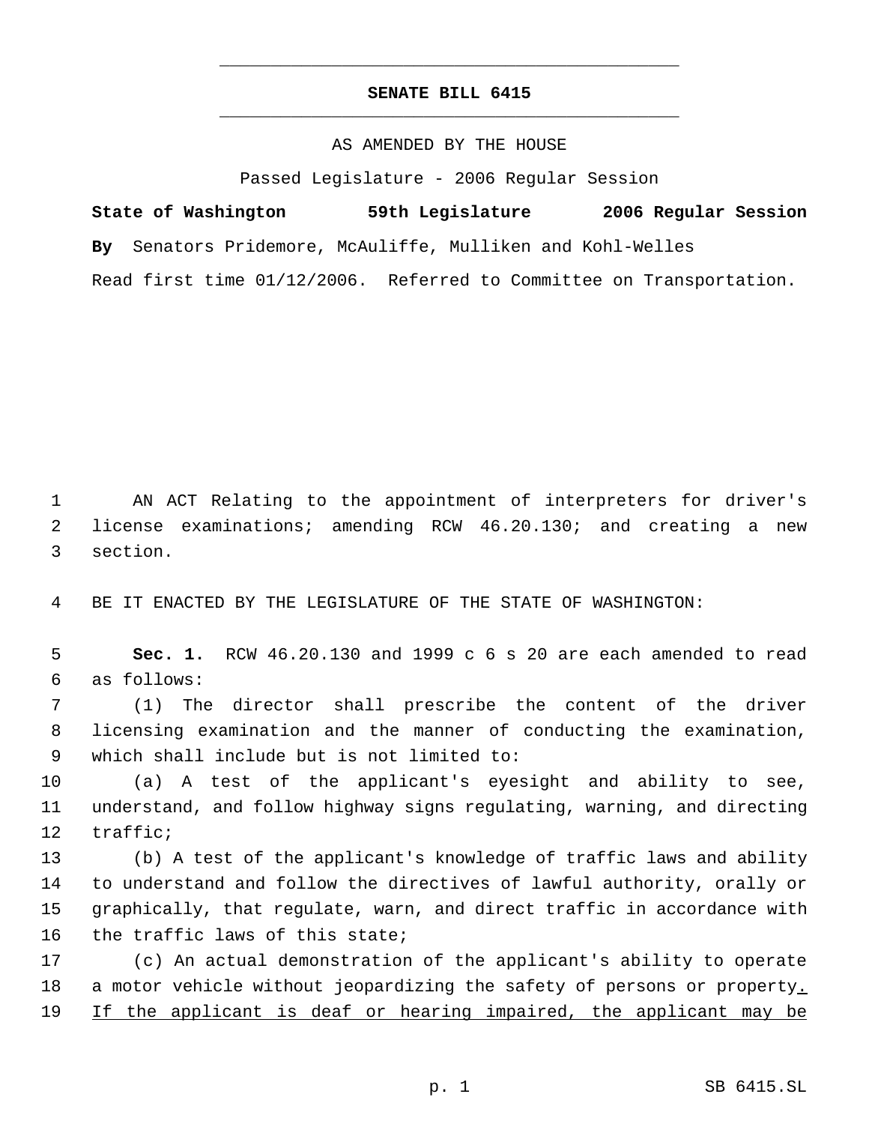## **SENATE BILL 6415** \_\_\_\_\_\_\_\_\_\_\_\_\_\_\_\_\_\_\_\_\_\_\_\_\_\_\_\_\_\_\_\_\_\_\_\_\_\_\_\_\_\_\_\_\_

\_\_\_\_\_\_\_\_\_\_\_\_\_\_\_\_\_\_\_\_\_\_\_\_\_\_\_\_\_\_\_\_\_\_\_\_\_\_\_\_\_\_\_\_\_

## AS AMENDED BY THE HOUSE

Passed Legislature - 2006 Regular Session

**State of Washington 59th Legislature 2006 Regular Session By** Senators Pridemore, McAuliffe, Mulliken and Kohl-Welles Read first time 01/12/2006. Referred to Committee on Transportation.

 AN ACT Relating to the appointment of interpreters for driver's license examinations; amending RCW 46.20.130; and creating a new section.

BE IT ENACTED BY THE LEGISLATURE OF THE STATE OF WASHINGTON:

 **Sec. 1.** RCW 46.20.130 and 1999 c 6 s 20 are each amended to read as follows:

 (1) The director shall prescribe the content of the driver licensing examination and the manner of conducting the examination, which shall include but is not limited to:

 (a) A test of the applicant's eyesight and ability to see, understand, and follow highway signs regulating, warning, and directing traffic;

 (b) A test of the applicant's knowledge of traffic laws and ability to understand and follow the directives of lawful authority, orally or graphically, that regulate, warn, and direct traffic in accordance with the traffic laws of this state;

 (c) An actual demonstration of the applicant's ability to operate 18 a motor vehicle without jeopardizing the safety of persons or property. 19 If the applicant is deaf or hearing impaired, the applicant may be